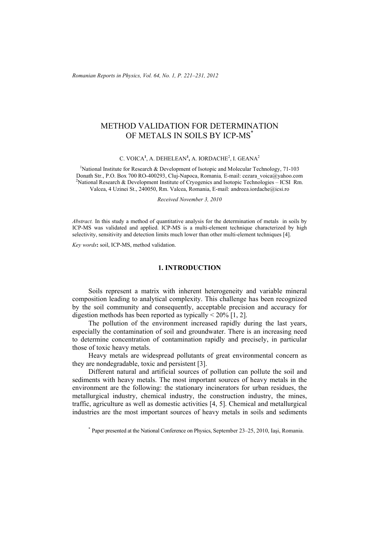*Romanian Reports in Physics, Vol. 64, No. 1, P. 221–231, 2012*

## METHOD VALIDATION FOR DETERMINATION OF METALS IN SOILS BY ICP-MS\*

C. VOICA<sup>1</sup>, A. DEHELEAN<sup>1</sup>, A. IORDACHE<sup>2</sup>, I. GEANA<sup>2</sup>

<sup>1</sup>National Institute for Research & Development of Isotopic and Molecular Technology, 71-103 Donath Str., P.O. Box 700 RO-400293, Cluj-Napoca, Romania*,* E-mail: cezara\_voica@yahoo.com 2 <sup>2</sup>National Research & Development Institute of Cryogenics and Isotopic Technologies – ICSI Rm. Valcea, 4 Uzinei St., 240050, Rm. Valcea, Romania, E-mail: andreea.iordache@icsi.ro

*Received November 3, 2010* 

*Abstract.* In this study a method of quantitative analysis for the determination of metals in soils by ICP-MS was validated and applied. ICP-MS is a multi-element technique characterized by high selectivity, sensitivity and detection limits much lower than other multi-element techniques [4].

*Key words***:** soil, ICP-MS, method validation.

#### **1. INTRODUCTION**

Soils represent a matrix with inherent heterogeneity and variable mineral composition leading to analytical complexity. This challenge has been recognized by the soil community and consequently, acceptable precision and accuracy for digestion methods has been reported as typically  $\leq 20\%$  [1, 2].

The pollution of the environment increased rapidly during the last years, especially the contamination of soil and groundwater. There is an increasing need to determine concentration of contamination rapidly and precisely, in particular those of toxic heavy metals.

Heavy metals are widespread pollutants of great environmental concern as they are nondegradable, toxic and persistent [3].

Different natural and artificial sources of pollution can pollute the soil and sediments with heavy metals. The most important sources of heavy metals in the environment are the following: the stationary incinerators for urban residues, the metallurgical industry, chemical industry, the construction industry, the mines, traffic, agriculture as well as domestic activities [4, 5]. Chemical and metallurgical industries are the most important sources of heavy metals in soils and sediments

<sup>\*</sup> Paper presented at the National Conference on Physics, September 23–25, 2010, Iaşi, Romania.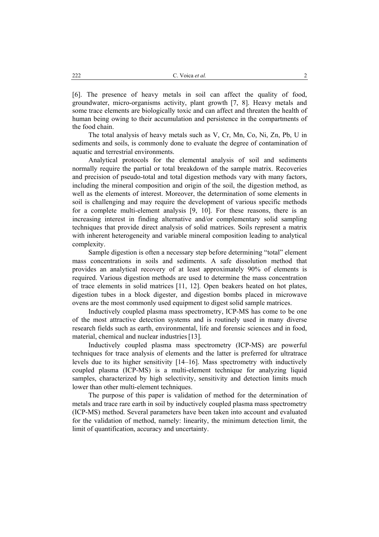[6]. The presence of heavy metals in soil can affect the quality of food, groundwater, micro-organisms activity, plant growth [7, 8]. Heavy metals and some trace elements are biologically toxic and can affect and threaten the health of human being owing to their accumulation and persistence in the compartments of the food chain.

The total analysis of heavy metals such as V, Cr, Mn, Co, Ni, Zn, Pb, U in sediments and soils, is commonly done to evaluate the degree of contamination of aquatic and terrestrial environments.

Analytical protocols for the elemental analysis of soil and sediments normally require the partial or total breakdown of the sample matrix. Recoveries and precision of pseudo-total and total digestion methods vary with many factors, including the mineral composition and origin of the soil, the digestion method, as well as the elements of interest. Moreover, the determination of some elements in soil is challenging and may require the development of various specific methods for a complete multi-element analysis [9, 10]. For these reasons, there is an increasing interest in finding alternative and/or complementary solid sampling techniques that provide direct analysis of solid matrices. Soils represent a matrix with inherent heterogeneity and variable mineral composition leading to analytical complexity.

Sample digestion is often a necessary step before determining "total" element mass concentrations in soils and sediments. A safe dissolution method that provides an analytical recovery of at least approximately 90% of elements is required. Various digestion methods are used to determine the mass concentration of trace elements in solid matrices [11, 12]. Open beakers heated on hot plates, digestion tubes in a block digester, and digestion bombs placed in microwave ovens are the most commonly used equipment to digest solid sample matrices.

Inductively coupled plasma mass spectrometry, ICP-MS has come to be one of the most attractive detection systems and is routinely used in many diverse research fields such as earth, environmental, life and forensic sciences and in food, material, chemical and nuclear industries [13].

Inductively coupled plasma mass spectrometry (ICP-MS) are powerful techniques for trace analysis of elements and the latter is preferred for ultratrace levels due to its higher sensitivity [14–16]. Mass spectrometry with inductively coupled plasma (ICP-MS) is a multi-element technique for analyzing liquid samples, characterized by high selectivity, sensitivity and detection limits much lower than other multi-element techniques.

The purpose of this paper is validation of method for the determination of metals and trace rare earth in soil by inductively coupled plasma mass spectrometry (ICP-MS) method. Several parameters have been taken into account and evaluated for the validation of method, namely: linearity, the minimum detection limit, the limit of quantification, accuracy and uncertainty.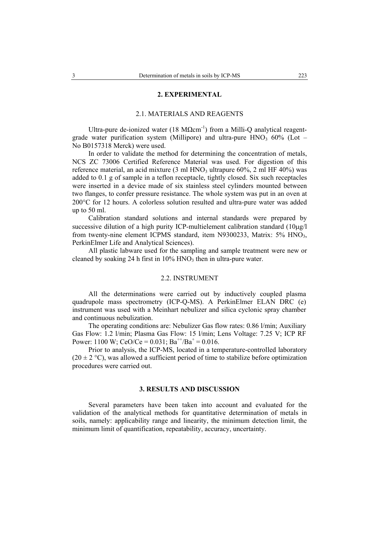#### **2. EXPERIMENTAL**

#### 2.1. MATERIALS AND REAGENTS

Ultra-pure de-ionized water (18 M $\Omega$ cm<sup>-1</sup>) from a Milli-Q analytical reagentgrade water purification system (Millipore) and ultra-pure  $HNO<sub>3</sub> 60%$  (Lot – No B0157318 Merck) were used.

In order to validate the method for determining the concentration of metals, NCS ZC 73006 Certified Reference Material was used. For digestion of this reference material, an acid mixture  $(3 \text{ ml HNO}_3 \text{ ultrapure } 60\%, 2 \text{ ml HF } 40\%)$  was added to 0.1 g of sample in a teflon receptacle, tightly closed. Six such receptacles were inserted in a device made of six stainless steel cylinders mounted between two flanges, to confer pressure resistance. The whole system was put in an oven at 200°C for 12 hours. A colorless solution resulted and ultra-pure water was added up to 50 ml.

Calibration standard solutions and internal standards were prepared by successive dilution of a high purity ICP-multielement calibration standard (10µg/l) from twenty-nine element ICPMS standard, item N9300233, Matrix: 5% HNO<sub>3</sub>, PerkinElmer Life and Analytical Sciences).

All plastic labware used for the sampling and sample treatment were new or cleaned by soaking 24 h first in  $10\%$  HNO<sub>3</sub> then in ultra-pure water.

### 2.2. INSTRUMENT

All the determinations were carried out by inductively coupled plasma quadrupole mass spectrometry (ICP-Q-MS). A PerkinElmer ELAN DRC (e) instrument was used with a Meinhart nebulizer and silica cyclonic spray chamber and continuous nebulization.

The operating conditions are: Nebulizer Gas flow rates: 0.86 l/min; Auxiliary Gas Flow: 1.2 l/min; Plasma Gas Flow: 15 l/min; Lens Voltage: 7.25 V; ICP RF Power: 1100 W; CeO/Ce = 0.031; Ba<sup>++</sup>/Ba<sup>+</sup> = 0.016.

Prior to analysis, the ICP-MS, located in a temperature-controlled laboratory  $(20 \pm 2 \degree C)$ , was allowed a sufficient period of time to stabilize before optimization procedures were carried out.

### **3. RESULTS AND DISCUSSION**

Several parameters have been taken into account and evaluated for the validation of the analytical methods for quantitative determination of metals in soils, namely: applicability range and linearity, the minimum detection limit, the minimum limit of quantification, repeatability, accuracy, uncertainty.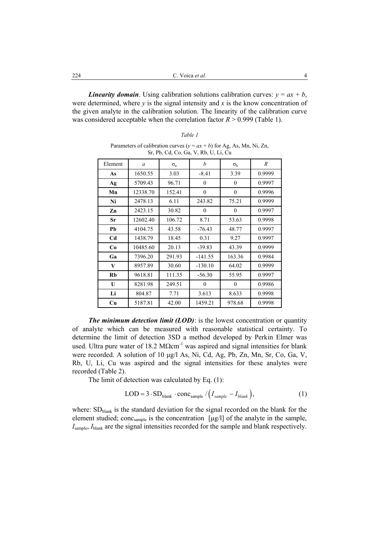*Linearity domain*. Using calibration solutions calibration curves:  $y = ax + b$ , were determined, where  $y$  is the signal intensity and  $x$  is the know concentration of the given analyte in the calibration solution. The linearity of the calibration curve was considered acceptable when the correlation factor  $R > 0.999$  (Table 1).

Element *a*  $\sigma_a$  *b*  $\sigma_b$  *R* **As** 1650.55 3.03 -8.41 3.39 0.9999 Ag | 5709.43 | 96.71 | 0 | 0 0.9997 **Mn** 12338.70 152.41 0 0 0.9996 **Ni** 2478.13 6.11 243.82 75.21 0.9999 **Zn** 2423.15 30.82 0 0 0.9997 **Sr** 12602.40 106.72 8.71 53.63 0.9998 **Pb** 4104.75 43.58 -76.43 48.77 0.9997 Cd 1438.79 18.45 0.31 9.27 0.9997 **Co** 10485.60 20.13 -39.83 43.39 0.9999 Ga | 7396.20 | 291.93 | -141.55 | 163.36 | 0.9984 **V** | 8957.89 | 30.60 | -130.10 | 64.02 | 0.9999 **Rb** 9618.81 111.35 -56.30 55.95 0.9997 **U** 8281.98 249.51 0 0 0.9986 Li | 804.87 | 7.71 | 3.613 | 8.633 | 0.9998 **Cu** 5187.81 42.00 1459.21 978.68 0.9998

Parameters of calibration curves ( $y = ax + b$ ) for Ag, As, Mn, Ni, Zn, Sr, Pb, Cd, Co, Ga, V, Rb, U, Li, Cu

*The minimum detection limit (LOD)*: is the lowest concentration or quantity of analyte which can be measured with reasonable statistical certainty. To determine the limit of detection 3SD a method developed by Perkin Elmer was used. Ultra pure water of 18.2  $M\Omega$ cm<sup>-1</sup> was aspired and signal intensities for blank were recorded. A solution of 10 µg/l As, Ni, Cd, Ag, Pb, Zn, Mn, Sr, Co, Ga, V, Rb, U, Li, Cu was aspired and the signal intensities for these analytes were recorded (Table 2).

The limit of detection was calculated by Eq. (1):

$$
LOD = 3 \cdot SD_{\text{blank}} \cdot \text{conc}_{\text{sample}} / (I_{\text{sample}} - I_{\text{blank}}), \tag{1}
$$

where:  $SD<sub>blank</sub>$  is the standard deviation for the signal recorded on the blank for the element studied; conc<sub>sample</sub> is the concentration [µg/l] of the analyte in the sample, *I*sample, *I*blank are the signal intensities recorded for the sample and blank respectively.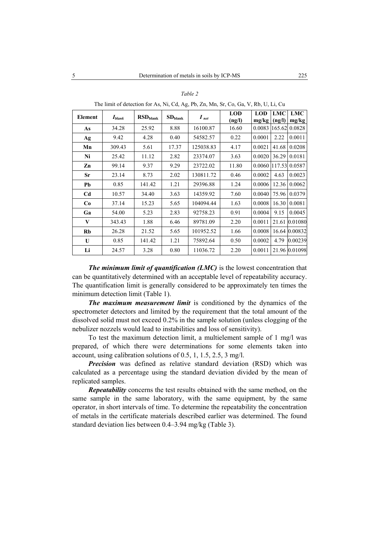| Element | $I_{blank}$ | RSD <sub>blank</sub> | $SD_{blank}$ | $I_{net}$ | <b>LOD</b><br>(ng/l) | <b>LOD</b><br>mg/kg | LMC<br>(ng/l) | <b>LMC</b><br>mg/kg |  |  |
|---------|-------------|----------------------|--------------|-----------|----------------------|---------------------|---------------|---------------------|--|--|
| As      | 34.28       | 25.92                | 8.88         | 16100.87  | 16.60                | 0.0083              |               | 165.62 0.0828       |  |  |
| Ag      | 9.42        | 4.28                 | 0.40         | 54582.57  | 0.22                 | 0.0001              | 2.22          | 0.0011              |  |  |
| Mn      | 309.43      | 5.61                 | 17.37        | 125038.83 | 4.17                 | 0.0021              | 41.68         | 0.0208              |  |  |
| Ni      | 25.42       | 11.12                | 2.82         | 23374.07  | 3.63                 | 0.0020              | 36.29         | 0.0181              |  |  |
| Zn      | 99.14       | 9.37                 | 9.29         | 23722.02  | 11.80                | 0.0060              |               | 117.53 0.0587       |  |  |
| Sr      | 23.14       | 8.73                 | 2.02         | 130811.72 | 0.46                 | 0.0002              | 4.63          | 0.0023              |  |  |
| Pb      | 0.85        | 141.42               | 1.21         | 29396.88  | 1.24                 | 0.0006              | 12.36         | 0.0062              |  |  |
| Cd      | 10.57       | 34.40                | 3.63         | 14359.92  | 7.60                 | 0.0040              | 75.96         | 0.0379              |  |  |
| Co      | 37.14       | 15.23                | 5.65         | 104094.44 | 1.63                 | 0.0008              | 16.30         | 0.0081              |  |  |
| Ga      | 54.00       | 5.23                 | 2.83         | 92758.23  | 0.91                 | 0.0004              | 9.15          | 0.0045              |  |  |
| V       | 343.43      | 1.88                 | 6.46         | 89781.09  | 2.20                 | 0.0011              | 21.61         | 0.01080             |  |  |
| Rb      | 26.28       | 21.52                | 5.65         | 101952.52 | 1.66                 | 0.0008              |               | 16.64 0.00832       |  |  |
| U       | 0.85        | 141.42               | 1.21         | 75892.64  | 0.50                 | 0.0002              | 4.79          | 0.00239             |  |  |
| Li      | 24.57       | 3.28                 | 0.80         | 11036.72  | 2.20                 | 0.0011              |               | 21.96 0.01098       |  |  |

*Table 2*  The limit of detection for As, Ni, Cd, Ag, Pb, Zn, Mn, Sr, Co, Ga, V, Rb, U, Li, Cu

*The minimum limit of quantification (LMC)* is the lowest concentration that can be quantitatively determined with an acceptable level of repeatability accuracy. The quantification limit is generally considered to be approximately ten times the minimum detection limit (Table 1).

*The maximum measurement limit* is conditioned by the dynamics of the spectrometer detectors and limited by the requirement that the total amount of the dissolved solid must not exceed 0.2% in the sample solution (unless clogging of the nebulizer nozzels would lead to instabilities and loss of sensitivity).

To test the maximum detection limit, a multielement sample of 1 mg/l was prepared, of which there were determinations for some elements taken into account, using calibration solutions of 0.5, 1, 1.5, 2.5, 3 mg/l.

*Precision* was defined as relative standard deviation (RSD) which was calculated as a percentage using the standard deviation divided by the mean of replicated samples.

*Repeatability* concerns the test results obtained with the same method, on the same sample in the same laboratory, with the same equipment, by the same operator, in short intervals of time. To determine the repeatability the concentration of metals in the certificate materials described earlier was determined. The found standard deviation lies between 0.4–3.94 mg/kg (Table 3).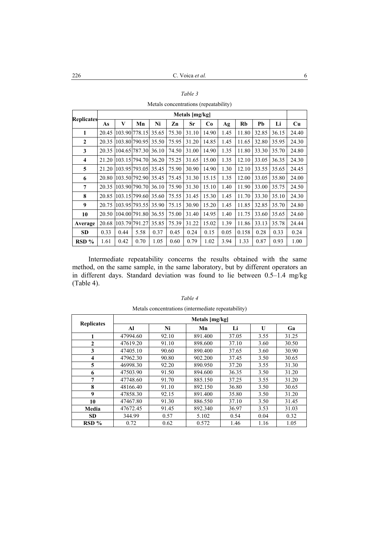|                   | Metals [mg/kg] |                           |               |       |       |       |           |      |       |       |       |       |
|-------------------|----------------|---------------------------|---------------|-------|-------|-------|-----------|------|-------|-------|-------|-------|
| <b>Replicates</b> | As             | V                         | Mn            | Ni    | Zn    | Sr    | <b>Co</b> | Ag   | Rb    | Pb    | Li    | Cu    |
| 1                 | 20.45          |                           | 103.90 778.15 | 35.65 | 75.30 | 31.10 | 14.90     | 1.45 | 11.80 | 32.85 | 36.15 | 24.40 |
| $\mathbf{2}$      | 20.35          | 103.80 790.95             |               | 35.50 | 75.95 | 31.20 | 14.85     | 1.45 | 11.65 | 32.80 | 35.95 | 24.30 |
| 3                 |                | 20.35 104.65 787.30 36.10 |               |       | 74.50 | 31.00 | 14.90     | 1.35 | 11.80 | 33.30 | 35.70 | 24.80 |
| 4                 | 21.20          | 103.15 794.70             |               | 36.20 | 75.25 | 31.65 | 15.00     | 1.35 | 12.10 | 33.05 | 36.35 | 24.30 |
| 5                 |                | 21.20 103.95 793.05 35.45 |               |       | 75.90 | 30.90 | 14.90     | 1.30 | 12.10 | 33.55 | 35.65 | 24.45 |
| 6                 | 20.80          | 103.501792.90135.45       |               |       | 75.45 | 31.30 | 15.15     | 1.35 | 12.00 | 33.05 | 35.80 | 24.00 |
| 7                 |                | 20.35 103.90 790.70 36.10 |               |       | 75.90 | 31.30 | 15.10     | 1.40 | 11.90 | 33.00 | 35.75 | 24.50 |
| 8                 | 20.85          | 103.15 799.60             |               | 35.60 | 75.55 | 31.45 | 15.30     | 1.45 | 11.70 | 33.30 | 35.10 | 24.30 |
| 9                 | 20.75          | 103.95 793.55 35.90       |               |       | 75.15 | 30.90 | 15.20     | 1.45 | 11.85 | 32.85 | 35.70 | 24.80 |
| 10                |                | 20.50 104.00 791.80       |               | 36.55 | 75.00 | 31.40 | 14.95     | 1.40 | 11.75 | 33.60 | 35.65 | 24.60 |
| Average           | 20.68          |                           | 103.79 791.27 | 35.85 | 75.39 | 31.22 | 15.02     | 1.39 | 11.86 | 33.13 | 35.78 | 24.44 |
| <b>SD</b>         | 0.33           | 0.44                      | 5.58          | 0.37  | 0.45  | 0.24  | 0.15      | 0.05 | 0.158 | 0.28  | 0.33  | 0.24  |
| $RSD\%$           | 1.61           | 0.42                      | 0.70          | 1.05  | 0.60  | 0.79  | 1.02      | 3.94 | 1.33  | 0.87  | 0.93  | 1.00  |

*Table 3* 

Metals concentrations (repeatability)

Intermediate repeatability concerns the results obtained with the same method, on the same sample, in the same laboratory, but by different operators an in different days. Standard deviation was found to lie between 0.5–1.4 mg/kg (Table 4).

| <b>Replicates</b>   | Metals [mg/kg] |       |         |       |              |       |  |  |  |  |  |
|---------------------|----------------|-------|---------|-------|--------------|-------|--|--|--|--|--|
|                     | Al             | Ni    | Mn      | Li    | $\mathbf{U}$ | Ga    |  |  |  |  |  |
| 1                   | 47994.60       | 92.10 | 891.400 | 37.05 | 3.55         | 31.25 |  |  |  |  |  |
| $\mathbf{2}$        | 47619.20       | 91.10 | 898.600 | 37.10 | 3.60         | 30.50 |  |  |  |  |  |
| 3                   | 47405.10       | 90.60 | 890.400 | 37.65 | 3.60         | 30.90 |  |  |  |  |  |
| $\overline{\bf{4}}$ | 47962.30       | 90.80 | 902.200 | 37.45 | 3.50         | 30.65 |  |  |  |  |  |
| 5                   | 46998.30       | 92.20 | 890.950 | 37.20 | 3.55         | 31.30 |  |  |  |  |  |
| 6                   | 47503.90       | 91.50 | 894.600 | 36.35 | 3.50         | 31.20 |  |  |  |  |  |
| 7                   | 47748.60       | 91.70 | 885.150 | 37.25 | 3.55         | 31.20 |  |  |  |  |  |
| 8                   | 48166.40       | 91.10 | 892.150 | 36.80 | 3.50         | 30.65 |  |  |  |  |  |
| $\boldsymbol{9}$    | 47858.30       | 92.15 | 891.400 | 35.80 | 3.50         | 31.20 |  |  |  |  |  |
| 10                  | 47467.80       | 91.30 | 886.550 | 37.10 | 3.50         | 31.45 |  |  |  |  |  |
| Media               | 47672.45       | 91.45 | 892.340 | 36.97 | 3.53         | 31.03 |  |  |  |  |  |
| <b>SD</b>           | 344.99         | 0.57  | 5.102   | 0.54  | 0.04         | 0.32  |  |  |  |  |  |
| $RSD\%$             | 0.72           | 0.62  | 0.572   | 1.46  | 1.16         | 1.05  |  |  |  |  |  |

# *Table 4*  Metals concentrations (intermediate repeatability)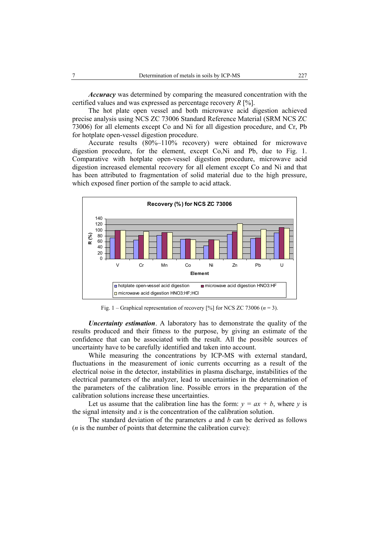*Accuracy* was determined by comparing the measured concentration with the certified values and was expressed as percentage recovery *R* [%].

The hot plate open vessel and both microwave acid digestion achieved precise analysis using NCS ZC 73006 Standard Reference Material (SRM NCS ZC 73006) for all elements except Co and Ni for all digestion procedure, and Cr, Pb for hotplate open-vessel digestion procedure.

Accurate results (80%–110% recovery) were obtained for microwave digestion procedure, for the element, except Co,Ni and Pb, due to Fig. 1. Comparative with hotplate open-vessel digestion procedure, microwave acid digestion increased elemental recovery for all element except Co and Ni and that has been attributed to fragmentation of solid material due to the high pressure, which exposed finer portion of the sample to acid attack.



Fig. 1 – Graphical representation of recovery  $[%]$  for NCS ZC 73006 ( $n = 3$ ).

*Uncertainty estimation*. A laboratory has to demonstrate the quality of the results produced and their fitness to the purpose, by giving an estimate of the confidence that can be associated with the result. All the possible sources of uncertainty have to be carefully identified and taken into account.

While measuring the concentrations by ICP-MS with external standard, fluctuations in the measurement of ionic currents occurring as a result of the electrical noise in the detector, instabilities in plasma discharge, instabilities of the electrical parameters of the analyzer, lead to uncertainties in the determination of the parameters of the calibration line. Possible errors in the preparation of the calibration solutions increase these uncertainties.

Let us assume that the calibration line has the form:  $y = ax + b$ , where *y* is the signal intensity and *x* is the concentration of the calibration solution.

The standard deviation of the parameters *a* and *b* can be derived as follows (*n* is the number of points that determine the calibration curve):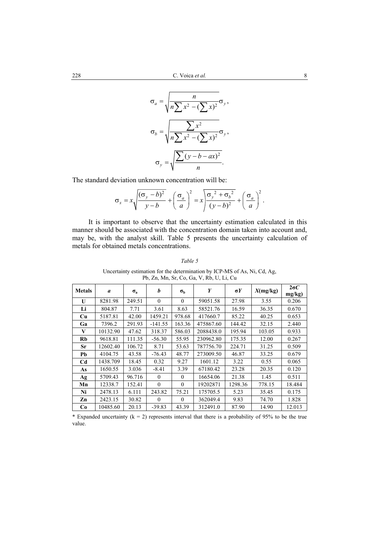$$
\sigma_a = \sqrt{\frac{n}{n \sum x^2 - (\sum x)^2}} \sigma_y,
$$

$$
\sigma_b = \sqrt{\frac{n \sum x^2}{n \sum x^2 - (\sum x)^2}} \sigma_y,
$$

$$
\sigma_y = \sqrt{\frac{\sum (y - b - ax)^2}{n}}.
$$

The standard deviation unknown concentration will be:

$$
\sigma_x = x \sqrt{\frac{(\sigma_y - b)^2}{y - b}} + \left(\frac{\sigma_a}{a}\right)^2 = x \sqrt{\frac{\sigma_y^2 + \sigma_b^2}{(y - b)^2}} + \left(\frac{\sigma_a}{a}\right)^2.
$$

It is important to observe that the uncertainty estimation calculated in this manner should be associated with the concentration domain taken into account and, may be, with the analyst skill. Table 5 presents the uncertainty calculation of metals for obtained metals concentrations.

*Table 5* 

| <b>Metals</b>  | $\mathfrak a$ | $\sigma_{\rm a}$ | b         | $\sigma_{\rm h}$ | Y         | $\sigma Y$ | X(mg/kg) | $2\sigma C$<br>mg/kg) |
|----------------|---------------|------------------|-----------|------------------|-----------|------------|----------|-----------------------|
| U              | 8281.98       | 249.51           | $\theta$  | $\theta$         | 59051.58  | 27.98      | 3.55     | 0.206                 |
| Li             | 804.87        | 7.71             | 3.61      | 8.63             | 58521.76  | 16.59      | 36.35    | 0.670                 |
| Cu             | 5187.81       | 42.00            | 1459.21   | 978.68           | 417660.7  | 85.22      | 40.25    | 0.653                 |
| Ga             | 7396.2        | 291.93           | $-141.55$ | 163.36           | 475867.60 | 144.42     | 32.15    | 2.440                 |
| V              | 10132.90      | 47.62            | 318.37    | 586.03           | 2088438.0 | 195.94     | 103.05   | 0.933                 |
| Rb             | 9618.81       | 111.35           | $-56.30$  | 55.95            | 230962.80 | 175.35     | 12.00    | 0.267                 |
| Sr             | 12602.40      | 106.72           | 8.71      | 53.63            | 787756.70 | 224.71     | 31.25    | 0.509                 |
| Pb             | 4104.75       | 43.58            | $-76.43$  | 48.77            | 273009.50 | 46.87      | 33.25    | 0.679                 |
| C <sub>d</sub> | 1438.709      | 18.45            | 0.32      | 9.27             | 1601.12   | 3.22       | 0.55     | 0.065                 |
| As             | 1650.55       | 3.036            | $-8.41$   | 3.39             | 67180.42  | 23.28      | 20.35    | 0.120                 |
| Ag             | 5709.43       | 96.716           | $\theta$  | $\Omega$         | 16654.06  | 21.38      | 1.45     | 0.511                 |
| Mn             | 12338.7       | 152.41           | $\theta$  | $\theta$         | 19202871  | 1298.36    | 778.15   | 18.484                |
| Ni             | 2478.13       | 6.111            | 243.82    | 75.21            | 175705.5  | 5.23       | 35.45    | 0.175                 |
| Zn             | 2423.15       | 30.82            | $\Omega$  | $\Omega$         | 362049.4  | 9.83       | 74.70    | 1.828                 |
| C <sub>0</sub> | 10485.60      | 20.13            | $-39.83$  | 43.39            | 312491.0  | 87.90      | 14.90    | 12.013                |

Uncertainty estimation for the determination by ICP-MS of As, Ni, Cd, Ag, Pb, Zn, Mn, Sr, Co, Ga, V, Rb, U, Li, Cu

\* Expanded uncertainty ( $k = 2$ ) represents interval that there is a probability of 95% to be the true value.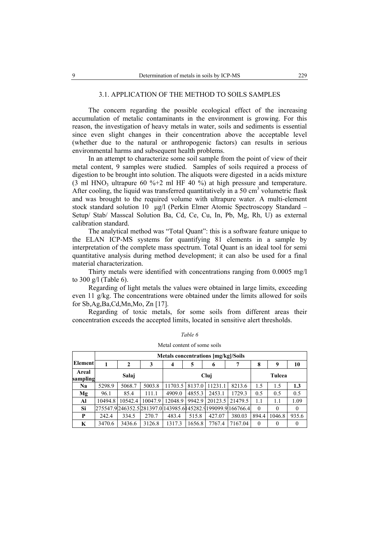#### 3.1. APPLICATION OF THE METHOD TO SOILS SAMPLES

The concern regarding the possible ecological effect of the increasing accumulation of metalic contaminants in the environment is growing. For this reason, the investigation of heavy metals in water, soils and sediments is essential since even slight changes in their concentration above the acceptable level (whether due to the natural or anthropogenic factors) can results in serious environmental harms and subsequent health problems.

In an attempt to characterize some soil sample from the point of view of their metal content, 9 samples were studied. Samples of soils required a process of digestion to be brought into solution. The aliquots were digested in a acids mixture (3 ml HNO<sub>3</sub> ultrapure 60 %+2 ml HF 40 %) at high pressure and temperature. After cooling, the liquid was transferred quantitatively in a 50  $\text{cm}^3$  volumetric flask and was brought to the required volume with ultrapure water. A multi-element stock standard solution 10 µg/l (Perkin Elmer Atomic Spectroscopy Standard – Setup/ Stab/ Masscal Solution Ba, Cd, Ce, Cu, In, Pb, Mg, Rh, U) as external calibration standard.

The analytical method was "Total Quant": this is a software feature unique to the ELAN ICP-MS systems for quantifying 81 elements in a sample by interpretation of the complete mass spectrum. Total Quant is an ideal tool for semi quantitative analysis during method development; it can also be used for a final material characterization.

Thirty metals were identified with concentrations ranging from 0.0005 mg/l to 300 g/l (Table 6).

Regarding of light metals the values were obtained in large limits, exceeding even 11 g/kg. The concentrations were obtained under the limits allowed for soils for Sb,Ag,Ba,Cd,Mn,Mo, Zn [17].

Regarding of toxic metals, for some soils from different areas their concentration exceeds the accepted limits, located in sensitive alert thresholds.

|                   | Metals concentrations [mg/kg]/Soils |              |         |                |        |                        |                                                                |          |          |              |  |  |
|-------------------|-------------------------------------|--------------|---------|----------------|--------|------------------------|----------------------------------------------------------------|----------|----------|--------------|--|--|
| <b>Element</b>    |                                     | $\mathbf{2}$ | 3       | $\overline{4}$ | 5      | 6                      | 7                                                              | 8        | 9        | 10           |  |  |
| Areal<br>sampling |                                     | Salaj        |         |                | Tulcea |                        |                                                                |          |          |              |  |  |
| Na                | 5298.9                              | 5068.7       | 5003.8  | 11703.5        |        | 8137.0 11231.1         | 8213.6                                                         | 1.5      | 1.5      | 1.3          |  |  |
| Mg                | 96.1                                | 85.4         | 111.1   | 4909.0         | 4855.3 | 2453.1                 | 1729.3                                                         | 0.5      | 0.5      | 0.5          |  |  |
| Al                | 10494.8                             | 10542.4      | 10047.9 | 12048.9        |        | 9942.9 20123.5 21479.5 |                                                                | 1.1      | 1.1      | 1.09         |  |  |
| Si                |                                     |              |         |                |        |                        | 275547.9 246352.5 281397.0 143985.6 145282.9 199099.9 166766.4 | $\theta$ | $\theta$ | $\mathbf{0}$ |  |  |
| P                 | 242.4                               | 334.5        | 270.7   | 483.4          | 515.8  | 427.07                 | 380.03                                                         | 894.4    | 1046.8   | 935.6        |  |  |
| K                 | 3470.6                              | 3436.6       | 3126.8  | 1317.3         | 1656.8 | 7767.4                 | 7167.04                                                        | $\theta$ | $\Omega$ | $\theta$     |  |  |

*Table 6*  Metal content of some soils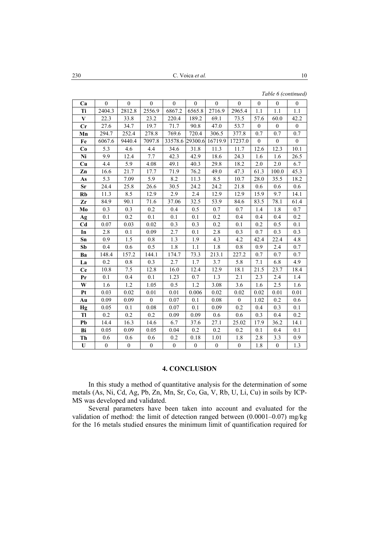230 **et al. 10** 

*Table 6 (continued)* 

| Ca           | $\boldsymbol{0}$ | $\boldsymbol{0}$ | $\overline{0}$   | $\boldsymbol{0}$ | $\mathbf{0}$     | $\boldsymbol{0}$ | $\mathbf{0}$   | $\boldsymbol{0}$ | $\boldsymbol{0}$ | $\boldsymbol{0}$ |
|--------------|------------------|------------------|------------------|------------------|------------------|------------------|----------------|------------------|------------------|------------------|
| Ti           | 2404.3           | 2812.8           | 2556.9           | 6867.2           | 6565.8           | 2716.9           | 2965.4         | 1.1              | 1.1              | 1.1              |
| $\mathbf{V}$ | 22.3             | 33.8             | 23.2             | 220.4            | 189.2            | 69.1             | 73.5           | 57.6             | 60.0             | 42.2             |
| Cr           | 27.6             | 34.7             | 19.7             | 71.7             | 90.8             | 47.0             | 53.7           | $\mathbf{0}$     | $\boldsymbol{0}$ | $\boldsymbol{0}$ |
| Mn           | 294.7            | 252.4            | 278.8            | 769.6            | 720.4            | 306.5            | 377.8          | 0.7              | 0.7              | 0.7              |
| Fe           | 6067.6           | 9440.4           | 7097.8           | 33578.6          | 29300.6          | 16719.9          | 17237.0        | $\boldsymbol{0}$ | $\boldsymbol{0}$ | $\boldsymbol{0}$ |
| Co           | 5.3              | 4.6              | 4.4              | 34.6             | 31.8             | 11.3             | 11.7           | 12.6             | 12.3             | 10.1             |
| Ni           | 9.9              | 12.4             | 7.7              | 42.3             | 42.9             | 18.6             | 24.3           | 1.6              | 1.6              | 26.5             |
| Cu           | 4.4              | 5.9              | 4.08             | 49.1             | 40.3             | 29.8             | 18.2           | 2.0              | 2.0              | 6.7              |
| Zn           | 16.6             | 21.7             | 17.7             | 71.9             | 76.2             | 49.0             | 47.3           | 61.3             | 100.0            | 45.3             |
| As           | 5.3              | 7.09             | 5.9              | 8.2              | 11.3             | 8.5              | 10.7           | 28.0             | 35.5             | 18.2             |
| Sr           | 24.4             | 25.8             | 26.6             | 30.5             | 24.2             | 24.2             | 21.8           | 0.6              | 0.6              | 0.6              |
| Rb           | 11.3             | 8.5              | 12.9             | 2.9              | 2.4              | 12.9             | 12.9           | 15.9             | 9.7              | 14.1             |
| Zr           | 84.9             | 90.1             | 71.6             | 37.06            | 32.5             | 53.9             | 84.6           | 83.5             | 78.1             | 61.4             |
| Mo           | 0.3              | 0.3              | 0.2              | 0.4              | 0.5              | 0.7              | 0.7            | 1.4              | 1.8              | 0.7              |
| Ag           | 0.1              | 0.2              | 0.1              | 0.1              | 0.1              | 0.2              | 0.4            | 0.4              | 0.4              | 0.2              |
| Cd           | 0.07             | 0.03             | 0.02             | 0.3              | 0.3              | 0.2              | 0.1            | 0.2              | 0.5              | 0.1              |
| In           | 2.8              | 0.1              | 0.09             | 2.7              | 0.1              | 2.8              | 0.3            | 0.7              | 0.3              | 0.3              |
| Sn           | 0.9              | 1.5              | 0.8              | 1.3              | 1.9              | 4.3              | 4.2            | 42.4             | 22.4             | 4.8              |
| Sb           | 0.4              | 0.6              | 0.5              | 1.8              | 1.1              | 1.8              | 0.8            | 0.9              | 2.4              | 0.7              |
| Ba           | 148.4            | 157.2            | 144.1            | 174.7            | 73.3             | 213.1            | 227.2          | 0.7              | 0.7              | 0.7              |
| La           | 0.2              | 0.8              | 0.3              | 2.7              | 1.7              | 3.7              | 5.8            | 7.1              | 6.8              | 4.9              |
| <b>Ce</b>    | 10.8             | 7.5              | 12.8             | 16.0             | 12.4             | 12.9             | 18.1           | 21.5             | 23.7             | 18.4             |
| Pr           | 0.1              | 0.4              | 0.1              | 1.23             | 0.7              | 1.3              | 2.1            | 2.3              | 2.4              | 1.4              |
| W            | 1.6              | 1.2              | 1.05             | 0.5              | 1.2              | 3.08             | 3.6            | 1.6              | 2.5              | 1.6              |
| Pt           | 0.03             | 0.02             | 0.01             | 0.01             | 0.006            | 0.02             | 0.02           | 0.02             | 0.01             | 0.01             |
| Au           | 0.09             | 0.09             | $\boldsymbol{0}$ | 0.07             | 0.1              | 0.08             | $\mathbf{0}$   | 1.02             | 0.2              | 0.6              |
| Hg           | 0.05             | 0.1              | 0.08             | 0.07             | 0.1              | 0.09             | 0.2            | 0.4              | 0.3              | 0.1              |
| Tl           | 0.2              | 0.2              | 0.2              | 0.09             | 0.09             | 0.6              | 0.6            | 0.3              | 0.4              | 0.2              |
| Pb           | 14.4             | 16.3             | 14.6             | 6.7              | 37.6             | 27.1             | 25.02          | 17.9             | 36.2             | 14.1             |
| Bi           | 0.05             | 0.09             | 0.05             | 0.04             | 0.2              | 0.2              | 0.2            | 0.1              | 0.4              | 0.1              |
| Th           | 0.6              | 0.6              | 0.6              | 0.2              | 0.18             | 1.01             | 1.8            | 2.8              | 3.3              | 0.9              |
| $\mathbf U$  | $\boldsymbol{0}$ | $\boldsymbol{0}$ | $\overline{0}$   | $\boldsymbol{0}$ | $\boldsymbol{0}$ | $\boldsymbol{0}$ | $\overline{0}$ | 1.8              | $\overline{0}$   | 1.3              |

### **4. CONCLUSION**

In this study a method of quantitative analysis for the determination of some metals (As, Ni, Cd, Ag, Pb, Zn, Mn, Sr, Co, Ga, V, Rb, U, Li, Cu) in soils by ICP-MS was developed and validated.

Several parameters have been taken into account and evaluated for the validation of method: the limit of detection ranged between (0.0001–0.07) mg/kg for the 16 metals studied ensures the minimum limit of quantification required for